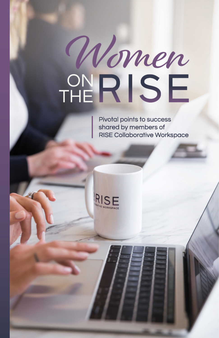

RISE

Pivotal points to success shared by members of **RISE Collaborative Workspace**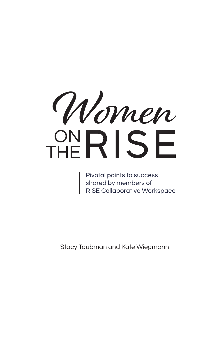

Pivotal points to success shared by members of<br>RISE Collaborative Workspace

Stacy Taubman and Kate Wiegmann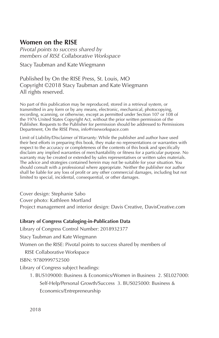### **Women on the RISE**

*Pivotal points to success shared by members of RISE Collaborative Workspace*

Stacy Taubman and Kate Wiegmann

Published by On the RISE Press, St. Louis, MO Copyright ©2018 Stacy Taubman and Kate Wiegmann All rights reserved.

No part of this publication may be reproduced, stored in a retrieval system, or transmitted in any form or by any means, electronic, mechanical, photocopying, recording, scanning, or otherwise, except as permitted under Section 107 or 108 of the 1976 United States Copyright Act, without the prior written permission of the Publisher. Requests to the Publisher for permission should be addressed to Permissions Department, On the RISE Press, info@riseworkspace.com

Limit of Liability/Disclaimer of Warranty: While the publisher and author have used their best efforts in preparing this book, they make no representations or warranties with respect to the accuracy or completeness of the contents of this book and specifically disclaim any implied warranties of merchantability or fitness for a particular purpose. No warranty may be created or extended by sales representatives or written sales materials. The advice and strategies contained herein may not be suitable for your situation. You should consult with a professional where appropriate. Neither the publisher nor author shall be liable for any loss of profit or any other commercial damages, including but not limited to special, incidental, consequential, or other damages.

Cover design: Stephanie Sabo

Cover photo: Kathleen Mortland

Project management and interior design: Davis Creative, DavisCreative.com

#### **Library of Congress Cataloging-in-Publication Data**

Library of Congress Control Number: 2018932377

Stacy Taubman and Kate Wiegmann

Women on the RISE: Pivotal points to success shared by members of

RISE Collaborative Workspace

ISBN: 9780999752500

Library of Congress subject headings:

1. BUS109000: Business & Economics/Women in Business 2. SEL027000: Self-Help/Personal Growth/Success 3. BUS025000: Business & Economics/Entrepreneurship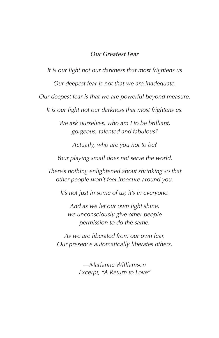#### *Our Greatest Fear*

*It is our light not our darkness that most frightens us Our deepest fear is not that we are inadequate. Our deepest fear is that we are powerful beyond measure. It is our light not our darkness that most frightens us. We ask ourselves, who am I to be brilliant, gorgeous, talented and fabulous? Actually, who are you not to be? Your playing small does not serve the world. There's nothing enlightened about shrinking so that other people won't feel insecure around you. It's not just in some of us; it's in everyone.*

*And as we let our own light shine, we unconsciously give other people permission to do the same.*

*As we are liberated from our own fear, Our presence automatically liberates others.*

> *—Marianne Williamson Excerpt, "A Return to Love"*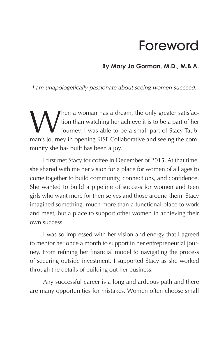# Foreword

### **By Mary Jo Gorman, M.D., M.B.A.**

*I am unapologetically passionate about seeing women succeed.*

When a woman has a dream, the only greater satisfaction than watching her achieve it is to be a part of her journey. I was able to be a small part of Stacy Taubtion than watching her achieve it is to be a part of her journey. I was able to be a small part of Stacy Taubman's journey in opening RISE Collaborative and seeing the community she has built has been a joy.

I first met Stacy for coffee in December of 2015. At that time, she shared with me her vision for a place for women of all ages to come together to build community, connections, and confidence. She wanted to build a pipeline of success for women and teen girls who want more for themselves and those around them. Stacy imagined something, much more than a functional place to work and meet, but a place to support other women in achieving their own success.

I was so impressed with her vision and energy that I agreed to mentor her once a month to support in her entrepreneurial journey. From refining her financial model to navigating the process of securing outside investment, I supported Stacy as she worked through the details of building out her business.

Any successful career is a long and arduous path and there are many opportunities for mistakes. Women often choose small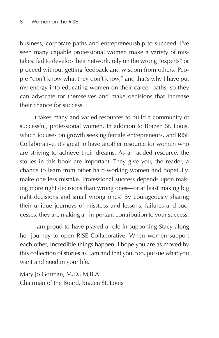business, corporate paths and entrepreneurship to succeed. I've seen many capable professional women make a variety of mistakes: fail to develop their network, rely on the wrong "experts" or proceed without getting feedback and wisdom from others. People "don't know what they don't know," and that's why I have put my energy into educating women on their career paths, so they can advocate for themselves and make decisions that increase their chance for success.

It takes many and varied resources to build a community of successful, professional women. In addition to Brazen St. Louis, which focuses on growth seeking female entrepreneurs, and RISE Collaborative, it's great to have another resource for women who are striving to achieve their dreams. As an added resource, the stories in this book are important. They give you, the reader, a chance to learn from other hard-working women and hopefully, make one less mistake. Professional success depends upon making more right decisions than wrong ones—or at least making big right decisions and small wrong ones! By courageously sharing their unique journeys of missteps and lessons, failures and successes, they are making an important contribution to your success.

I am proud to have played a role in supporting Stacy along her journey to open RISE Collaborative. When women support each other, incredible things happen. I hope you are as moved by this collection of stories as I am and that you, too, pursue what you want and need in your life.

Mary Jo Gorman, M.D., M.B.A Chairman of the Board, Brazen St. Louis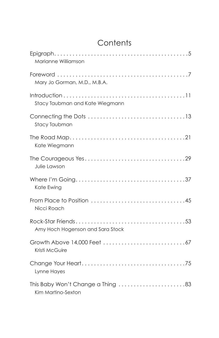### **Contents**

| Marianne Williamson                                     |
|---------------------------------------------------------|
| Mary Jo Gorman, M.D., M.B.A.                            |
| Stacy Taubman and Kate Wiegmann                         |
| Stacy Taubman                                           |
| Kate Wiegmann                                           |
| Julie Lawson                                            |
| Kate Ewing                                              |
| Nicci Roach                                             |
| Amy Hoch Hogenson and Sara Stock                        |
| Kristi McGuire                                          |
| Lynne Hayes                                             |
| This Baby Won't Change a Thing 83<br>Kim Martino-Sexton |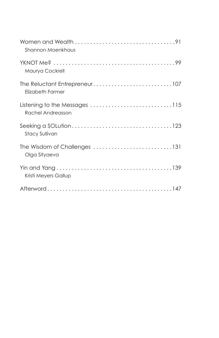| <b>Shannon Moenkhaus</b>                           |
|----------------------------------------------------|
| Maurya Cockrell                                    |
| Elizabeth Farmer                                   |
| Listening to the Messages 115<br>Rachel Andreasson |
| Stacy Sullivan                                     |
| The Wisdom of Challenges 131<br>Olga Sityaeva      |
| Kristi Meyers Gallup                               |
|                                                    |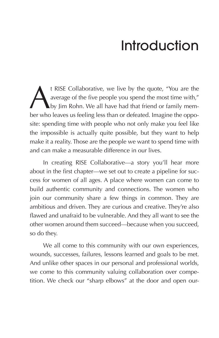# **Introduction**

t RISE Collaborative, we live by the quote, "You are the average of the five people you spend the most time with,"<br>by Jim Rohn. We all have had that friend or family member who looves us fooling loss than or dofoated. Imag average of the five people you spend the most time with," by Jim Rohn. We all have had that friend or family member who leaves us feeling less than or defeated. Imagine the opposite: spending time with people who not only make you feel like the impossible is actually quite possible, but they want to help make it a reality. Those are the people we want to spend time with and can make a measurable difference in our lives.

In creating RISE Collaborative—a story you'll hear more about in the first chapter—we set out to create a pipeline for success for women of all ages. A place where women can come to build authentic community and connections. The women who join our community share a few things in common. They are ambitious and driven. They are curious and creative. They're also flawed and unafraid to be vulnerable. And they all want to see the other women around them succeed—because when you succeed, so do they.

We all come to this community with our own experiences, wounds, successes, failures, lessons learned and goals to be met. And unlike other spaces in our personal and professional worlds, we come to this community valuing collaboration over competition. We check our "sharp elbows" at the door and open our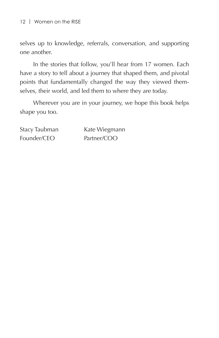selves up to knowledge, referrals, conversation, and supporting one another.

In the stories that follow, you'll hear from 17 women. Each have a story to tell about a journey that shaped them, and pivotal points that fundamentally changed the way they viewed themselves, their world, and led them to where they are today.

Wherever you are in your journey, we hope this book helps shape you too.

Founder/CEO Partner/COO

Stacy Taubman Kate Wiegmann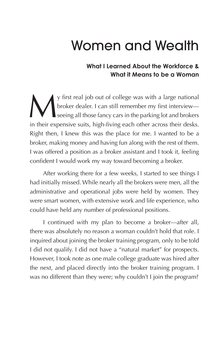# Women and Wealth

### **What I Learned About the Workforce & What it Means to be a Woman**

y first real job out of college was with a large national<br>broker dealer. I can still remember my first interview—<br>seeing all those fancy cars in the parking lot and brokers<br>in their expensive suite high fiving each other a broker dealer. I can still remember my first interview seeing all those fancy cars in the parking lot and brokers in their expensive suits, high-fiving each other across their desks. Right then, I knew this was the place for me. I wanted to be a broker, making money and having fun along with the rest of them. I was offered a position as a broker assistant and I took it, feeling confident I would work my way toward becoming a broker.

After working there for a few weeks, I started to see things I had initially missed. While nearly all the brokers were men, all the administrative and operational jobs were held by women. They were smart women, with extensive work and life experience, who could have held any number of professional positions.

I continued with my plan to become a broker—after all, there was absolutely no reason a woman couldn't hold that role. I inquired about joining the broker training program, only to be told I did not qualify. I did not have a "natural market" for prospects. However, I took note as one male college graduate was hired after the next, and placed directly into the broker training program. I was no different than they were; why couldn't I join the program?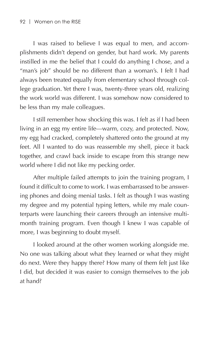#### 92 | Women on the RISE

I was raised to believe I was equal to men, and accomplishments didn't depend on gender, but hard work. My parents instilled in me the belief that I could do anything I chose, and a "man's job" should be no different than a woman's. I felt I had always been treated equally from elementary school through college graduation. Yet there I was, twenty-three years old, realizing the work world was different. I was somehow now considered to be less than my male colleagues.

I still remember how shocking this was. I felt as if I had been living in an egg my entire life—warm, cozy, and protected. Now, my egg had cracked, completely shattered onto the ground at my feet. All I wanted to do was reassemble my shell, piece it back together, and crawl back inside to escape from this strange new world where I did not like my pecking order.

After multiple failed attempts to join the training program, I found it difficult to come to work. I was embarrassed to be answering phones and doing menial tasks. I felt as though I was wasting my degree and my potential typing letters, while my male counterparts were launching their careers through an intensive multimonth training program. Even though I knew I was capable of more, I was beginning to doubt myself.

I looked around at the other women working alongside me. No one was talking about what they learned or what they might do next. Were they happy there? How many of them felt just like I did, but decided it was easier to consign themselves to the job at hand?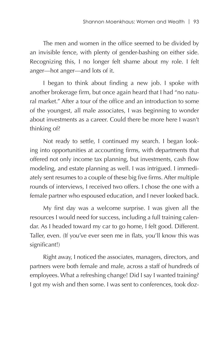The men and women in the office seemed to be divided by an invisible fence, with plenty of gender-bashing on either side. Recognizing this, I no longer felt shame about my role. I felt anger—hot anger—and lots of it.

I began to think about finding a new job. I spoke with another brokerage firm, but once again heard that I had "no natural market." After a tour of the office and an introduction to some of the youngest, all male associates, I was beginning to wonder about investments as a career. Could there be more here I wasn't thinking of?

Not ready to settle, I continued my search. I began looking into opportunities at accounting firms, with departments that offered not only income tax planning, but investments, cash flow modeling, and estate planning as well. I was intrigued. I immediately sent resumes to a couple of these big five firms. After multiple rounds of interviews, I received two offers. I chose the one with a female partner who espoused education, and I never looked back.

My first day was a welcome surprise. I was given all the resources I would need for success, including a full training calendar. As I headed toward my car to go home, I felt good. Different. Taller, even. (If you've ever seen me in flats, you'll know this was significant!)

Right away, I noticed the associates, managers, directors, and partners were both female and male, across a staff of hundreds of employees. What a refreshing change! Did I say I wanted training? I got my wish and then some. I was sent to conferences, took doz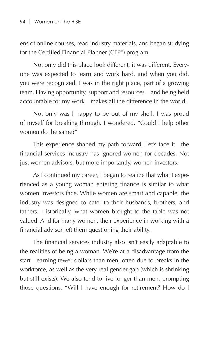ens of online courses, read industry materials, and began studying for the Certified Financial Planner (CFP®) program.

Not only did this place look different, it was different. Everyone was expected to learn and work hard, and when you did, you were recognized. I was in the right place, part of a growing team. Having opportunity, support and resources—and being held accountable for my work—makes all the difference in the world.

Not only was I happy to be out of my shell, I was proud of myself for breaking through. I wondered, "Could I help other women do the same?"

This experience shaped my path forward. Let's face it—the financial services industry has ignored women for decades. Not just women advisors, but more importantly, women investors.

As I continued my career, I began to realize that what I experienced as a young woman entering finance is similar to what women investors face. While women are smart and capable, the industry was designed to cater to their husbands, brothers, and fathers. Historically, what women brought to the table was not valued. And for many women, their experience in working with a financial advisor left them questioning their ability.

The financial services industry also isn't easily adaptable to the realities of being a woman. We're at a disadvantage from the start—earning fewer dollars than men, often due to breaks in the workforce, as well as the very real gender gap (which is shrinking but still exists). We also tend to live longer than men, prompting those questions, "Will I have enough for retirement? How do I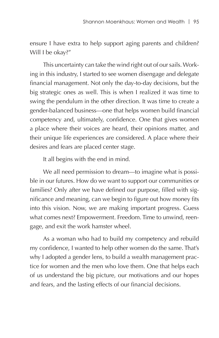ensure I have extra to help support aging parents and children? Will I be okay?"

This uncertainty can take the wind right out of our sails. Working in this industry, I started to see women disengage and delegate financial management. Not only the day-to-day decisions, but the big strategic ones as well. This is when I realized it was time to swing the pendulum in the other direction. It was time to create a gender-balanced business—one that helps women build financial competency and, ultimately, confidence. One that gives women a place where their voices are heard, their opinions matter, and their unique life experiences are considered. A place where their desires and fears are placed center stage.

It all begins with the end in mind.

We all need permission to dream—to imagine what is possible in our futures. How do we want to support our communities or families? Only after we have defined our purpose, filled with significance and meaning, can we begin to figure out how money fits into this vision. Now, we are making important progress. Guess what comes next? Empowerment. Freedom. Time to unwind, reengage, and exit the work hamster wheel.

As a woman who had to build my competency and rebuild my confidence, I wanted to help other women do the same. That's why I adopted a gender lens, to build a wealth management practice for women and the men who love them. One that helps each of us understand the big picture, our motivations and our hopes and fears, and the lasting effects of our financial decisions.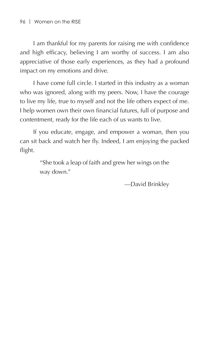I am thankful for my parents for raising me with confidence and high efficacy, believing I am worthy of success. I am also appreciative of those early experiences, as they had a profound impact on my emotions and drive.

I have come full circle. I started in this industry as a woman who was ignored, along with my peers. Now, I have the courage to live my life, true to myself and not the life others expect of me. I help women own their own financial futures, full of purpose and contentment, ready for the life each of us wants to live.

If you educate, engage, and empower a woman, then you can sit back and watch her fly. Indeed, I am enjoying the packed flight.

> "She took a leap of faith and grew her wings on the way down."

> > —David Brinkley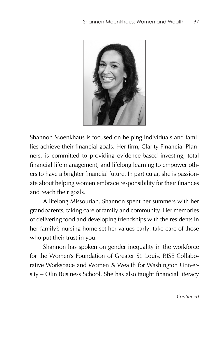

Shannon Moenkhaus is focused on helping individuals and families achieve their financial goals. Her firm, Clarity Financial Planners, is committed to providing evidence-based investing, total financial life management, and lifelong learning to empower others to have a brighter financial future. In particular, she is passionate about helping women embrace responsibility for their finances and reach their goals.

A lifelong Missourian, Shannon spent her summers with her grandparents, taking care of family and community. Her memories of delivering food and developing friendships with the residents in her family's nursing home set her values early: take care of those who put their trust in you.

Shannon has spoken on gender inequality in the workforce for the Women's Foundation of Greater St. Louis, RISE Collaborative Workspace and Women & Wealth for Washington University – Olin Business School. She has also taught financial literacy

*Continued*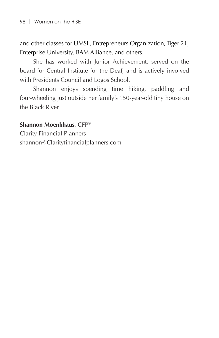and other classes for UMSL, Entrepreneurs Organization, Tiger 21, Enterprise University, BAM Alliance, and others.

She has worked with Junior Achievement, served on the board for Central Institute for the Deaf, and is actively involved with Presidents Council and Logos School.

Shannon enjoys spending time hiking, paddling and four-wheeling just outside her family's 150-year-old tiny house on the Black River.

#### **Shannon Moenkhaus**, CFP®

Clarity Financial Planners shannon@Clarityfinancialplanners.com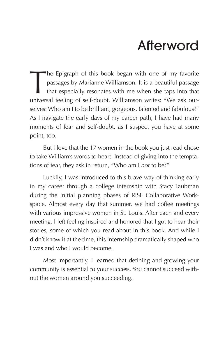# **Afterword**

The Epigraph of this book began with one of my favorite passages by Marianne Williamson. It is a beautiful passage that especially resonates with me when she taps into that universal feeling of self-doubt. Williamson write he Epigraph of this book began with one of my favorite passages by Marianne Williamson. It is a beautiful passage that especially resonates with me when she taps into that selves: Who am I to be brilliant, gorgeous, talented and fabulous?" As I navigate the early days of my career path, I have had many moments of fear and self-doubt, as I suspect you have at some point, too.

But I love that the 17 women in the book you just read chose to take William's words to heart. Instead of giving into the temptations of fear, they ask in return, "Who am I *not* to be?"

Luckily, I was introduced to this brave way of thinking early in my career through a college internship with Stacy Taubman during the initial planning phases of RISE Collaborative Workspace. Almost every day that summer, we had coffee meetings with various impressive women in St. Louis. After each and every meeting, I left feeling inspired and honored that I got to hear their stories, some of which you read about in this book. And while I didn't know it at the time, this internship dramatically shaped who I was and who I would become.

Most importantly, I learned that defining and growing your community is essential to your success. You cannot succeed without the women around you succeeding.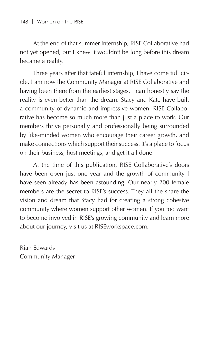At the end of that summer internship, RISE Collaborative had not yet opened, but I knew it wouldn't be long before this dream became a reality.

Three years after that fateful internship, I have come full circle. I am now the Community Manager at RISE Collaborative and having been there from the earliest stages, I can honestly say the reality is even better than the dream. Stacy and Kate have built a community of dynamic and impressive women. RISE Collaborative has become so much more than just a place to work. Our members thrive personally and professionally being surrounded by like-minded women who encourage their career growth, and make connections which support their success. It's a place to focus on their business, host meetings, and get it all done.

At the time of this publication, RISE Collaborative's doors have been open just one year and the growth of community I have seen already has been astounding. Our nearly 200 female members are the secret to RISE's success. They all the share the vision and dream that Stacy had for creating a strong cohesive community where women support other women. If you too want to become involved in RISE's growing community and learn more about our journey, visit us at RISEworkspace.com.

Rian Edwards Community Manager